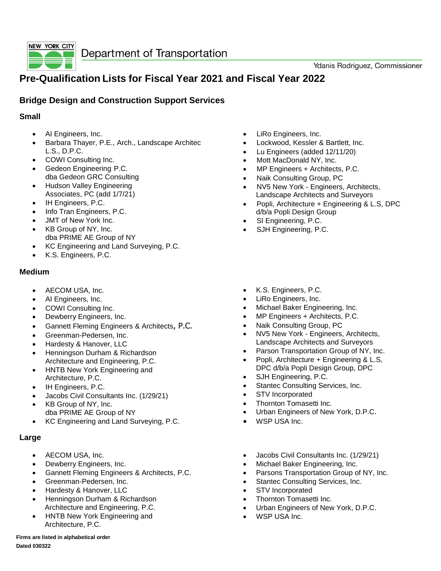

# **Pre-Qualification Lists for Fiscal Year 2021 and Fiscal Year 2022**

### **Bridge Design and Construction Support Services**

#### **Small**

- AI Engineers, Inc.
- Barbara Thayer, P.E., Arch., Landscape Architec L.S., D.P.C.
- COWI Consulting Inc.
- Gedeon Engineering P.C. dba Gedeon GRC Consulting
- Hudson Valley Engineering Associates, PC (add 1/7/21)
- IH Engineers, P.C.
- Info Tran Engineers, P.C.
- JMT of New York Inc.
- KB Group of NY, Inc. dba PRIME AE Group of NY
- KC Engineering and Land Surveying, P.C.
- K.S. Engineers, P.C.

#### **Medium**

- AECOM USA, Inc.
- AI Engineers, Inc.
- COWI Consulting Inc.
- Dewberry Engineers, Inc.
- Gannett Fleming Engineers & Architects, P.C.
- Greenman-Pedersen, Inc.
- Hardesty & Hanover, LLC
- Henningson Durham & Richardson Architecture and Engineering, P.C.
- HNTB New York Engineering and Architecture, P.C.
- IH Engineers, P.C.
- Jacobs Civil Consultants Inc. (1/29/21)
- KB Group of NY, Inc. dba PRIME AE Group of NY
- KC Engineering and Land Surveying, P.C.

#### **Large**

- AECOM USA, Inc.
- Dewberry Engineers, Inc.
- Gannett Fleming Engineers & Architects, P.C.
- Greenman-Pedersen, Inc.
- Hardesty & Hanover, LLC
- Henningson Durham & Richardson Architecture and Engineering, P.C.
- HNTB New York Engineering and Architecture, P.C.
- LiRo Engineers, Inc.
- Lockwood, Kessler & Bartlett, Inc.
- Lu Engineers (added 12/11/20)
- Mott MacDonald NY, Inc.
- MP Engineers + Architects, P.C.
- Naik Consulting Group, PC
- NV5 New York Engineers, Architects, Landscape Architects and Surveyors
- Popli, Architecture + Engineering & L.S, DPC d/b/a Popli Design Group
- SI Engineering, P.C.
- SJH Engineering, P.C.
- K.S. Engineers, P.C.
- LiRo Engineers, Inc.
- Michael Baker Engineering, Inc.
- MP Engineers + Architects, P.C.
- Naik Consulting Group, PC
- NV5 New York Engineers, Architects, Landscape Architects and Surveyors
- Parson Transportation Group of NY, Inc.
- Popli, Architecture + Engineering & L.S. DPC d/b/a Popli Design Group, DPC
- SJH Engineering, P.C.
- Stantec Consulting Services, Inc.
- STV Incorporated
- Thornton Tomasetti Inc.
- Urban Engineers of New York, D.P.C.
- WSP USA Inc.
- Jacobs Civil Consultants Inc. (1/29/21)
- Michael Baker Engineering, Inc.
- Parsons Transportation Group of NY, Inc.
- Stantec Consulting Services, Inc.
- STV Incorporated
- Thornton Tomasetti Inc.
- Urban Engineers of New York, D.P.C.
- WSP USA Inc.

**Firms are listed in alphabetical order Dated 030322**